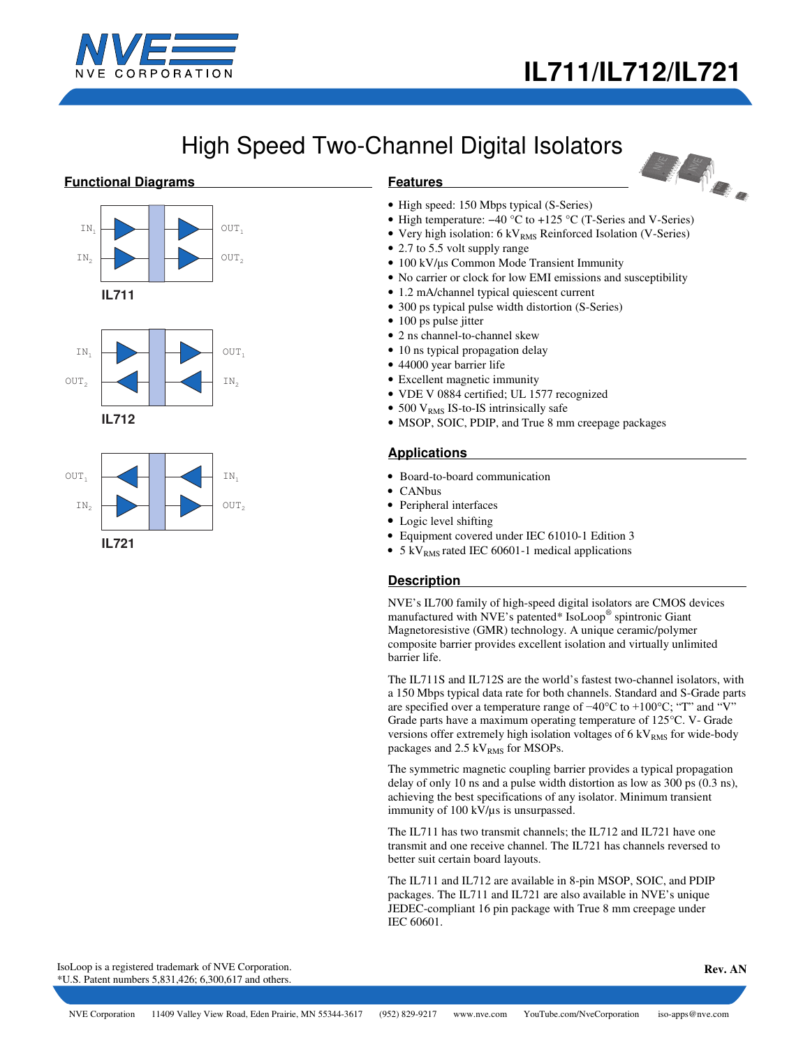

LA 2

# High Speed Two-Channel Digital Isolators

### **Functional Diagrams**







# **Features**

- High speed: 150 Mbps typical (S-Series)
- High temperature: −40 °C to +125 °C (T-Series and V-Series)
- Very high isolation:  $6 \text{ kV}_{\text{RMS}}$  Reinforced Isolation (V-Series)
- 2.7 to 5.5 volt supply range
- 100 kV/μs Common Mode Transient Immunity
- No carrier or clock for low EMI emissions and susceptibility
- 1.2 mA/channel typical quiescent current
- 300 ps typical pulse width distortion (S-Series)
- 100 ps pulse jitter
- 2 ns channel-to-channel skew
- 10 ns typical propagation delay
- 44000 year barrier life
- Excellent magnetic immunity
- VDE V 0884 certified; UL 1577 recognized
- 500  $V<sub>RMS</sub>$  IS-to-IS intrinsically safe
- MSOP, SOIC, PDIP, and True 8 mm creepage packages

## **Applications**

- Board-to-board communication
- CANbus
- Peripheral interfaces
- Logic level shifting
- Equipment covered under IEC 61010-1 Edition 3
- 5 kV $_{RMS}$  rated IEC 60601-1 medical applications

#### **Description**

NVE's IL700 family of high-speed digital isolators are CMOS devices manufactured with NVE's patented\* IsoLoop® spintronic Giant Magnetoresistive (GMR) technology. A unique ceramic/polymer composite barrier provides excellent isolation and virtually unlimited barrier life.

The IL711S and IL712S are the world's fastest two-channel isolators, with a 150 Mbps typical data rate for both channels. Standard and S-Grade parts are specified over a temperature range of −40°C to +100°C; "T" and "V" Grade parts have a maximum operating temperature of 125°C. V- Grade versions offer extremely high isolation voltages of  $6 \text{ kV}_{\text{RMS}}$  for wide-body packages and  $2.5 \text{ kV}_{RMS}$  for MSOPs.

The symmetric magnetic coupling barrier provides a typical propagation delay of only 10 ns and a pulse width distortion as low as 300 ps (0.3 ns), achieving the best specifications of any isolator. Minimum transient immunity of 100 kV/µs is unsurpassed.

The IL711 has two transmit channels; the IL712 and IL721 have one transmit and one receive channel. The IL721 has channels reversed to better suit certain board layouts.

The IL711 and IL712 are available in 8-pin MSOP, SOIC, and PDIP packages. The IL711 and IL721 are also available in NVE's unique JEDEC-compliant 16 pin package with True 8 mm creepage under IEC 60601.

IsoLoop is a registered trademark of NVE Corporation. \*U.S. Patent numbers 5,831,426; 6,300,617 and others.

 **Rev. AN**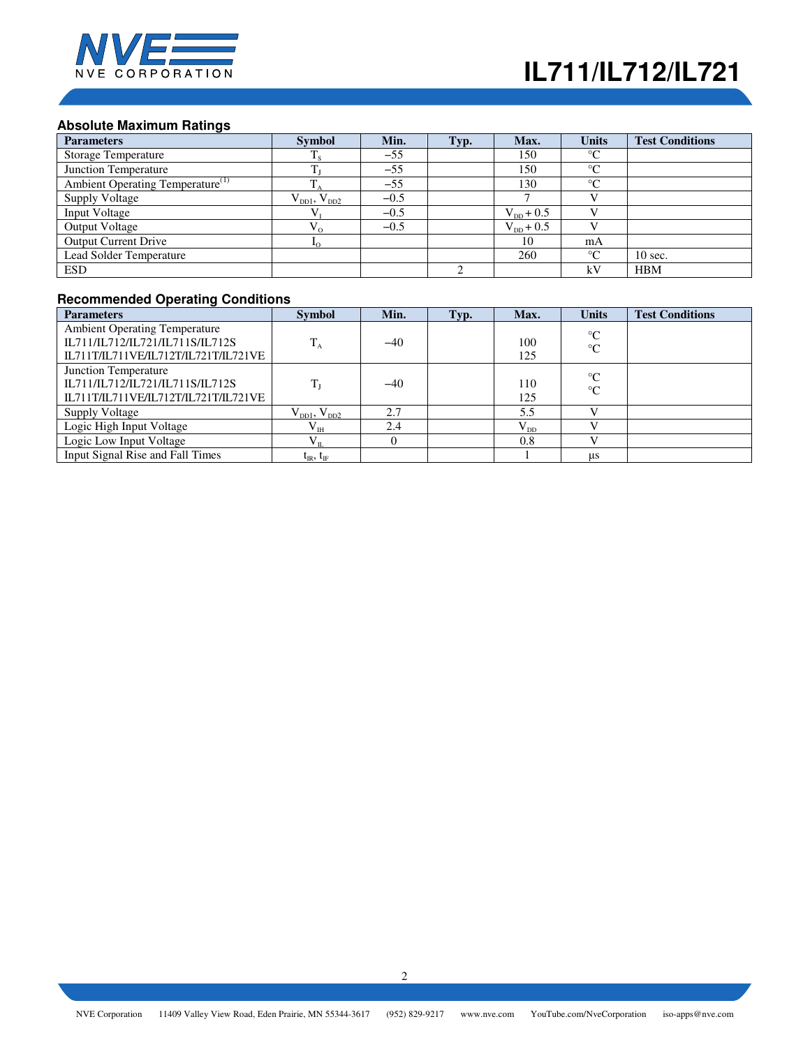

# **Absolute Maximum Ratings**

| <b>Parameters</b>                            | <b>Symbol</b>         | Min.   | Typ. | Max.                  | <b>Units</b>    | <b>Test Conditions</b> |
|----------------------------------------------|-----------------------|--------|------|-----------------------|-----------------|------------------------|
| <b>Storage Temperature</b>                   |                       | $-55$  |      | 150                   | $\rm ^{\circ}C$ |                        |
| Junction Temperature                         |                       | $-55$  |      | 150                   | $\rm ^{\circ}C$ |                        |
| Ambient Operating Temperature <sup>(1)</sup> |                       | $-55$  |      | 130                   | $\rm ^{\circ}C$ |                        |
| <b>Supply Voltage</b>                        | $V_{DD1}$ , $V_{DD2}$ | $-0.5$ |      |                       |                 |                        |
| <b>Input Voltage</b>                         |                       | $-0.5$ |      | $V_{\text{DD}} + 0.5$ |                 |                        |
| <b>Output Voltage</b>                        | $V_{0}$               | $-0.5$ |      | $V_{\text{DD}} + 0.5$ |                 |                        |
| <b>Output Current Drive</b>                  |                       |        |      | 10                    | mA              |                        |
| Lead Solder Temperature                      |                       |        |      | 260                   | $\rm ^{\circ}C$ | $10 \text{ sec.}$      |
| <b>ESD</b>                                   |                       |        |      |                       | kV              | <b>HBM</b>             |

## **Recommended Operating Conditions**

| <b>Parameters</b>                    | <b>Symbol</b>         | Min.  | Typ. | Max.     | <b>Units</b>    | <b>Test Conditions</b> |
|--------------------------------------|-----------------------|-------|------|----------|-----------------|------------------------|
| <b>Ambient Operating Temperature</b> |                       |       |      |          | $\rm ^{\circ}C$ |                        |
| IL711/IL712/IL721/IL711S/IL712S      | $T_A$                 | $-40$ |      | 100      | $\rm ^{\circ}C$ |                        |
| IL711T/IL711VE/IL712T/IL721T/IL721VE |                       |       |      | 125      |                 |                        |
| Junction Temperature                 |                       |       |      |          | $^{\circ}C$     |                        |
| IL711/IL712/IL721/IL711S/IL712S      |                       | $-40$ |      | 110      | $\rm ^{\circ}C$ |                        |
| IL711T/IL711VE/IL712T/IL721T/IL721VE |                       |       |      | 125      |                 |                        |
| <b>Supply Voltage</b>                | $V_{DD1}$ , $V_{DD2}$ | 2.7   |      | 5.5      | $\mathbf{V}$    |                        |
| Logic High Input Voltage             | $\rm V_{\rm IH}$      | 2.4   |      | $V_{DD}$ |                 |                        |
| Logic Low Input Voltage              | $V_{IL}$              | 0     |      | 0.8      |                 |                        |
| Input Signal Rise and Fall Times     | $t_{IR}$ , $t_{IF}$   |       |      |          | μs              |                        |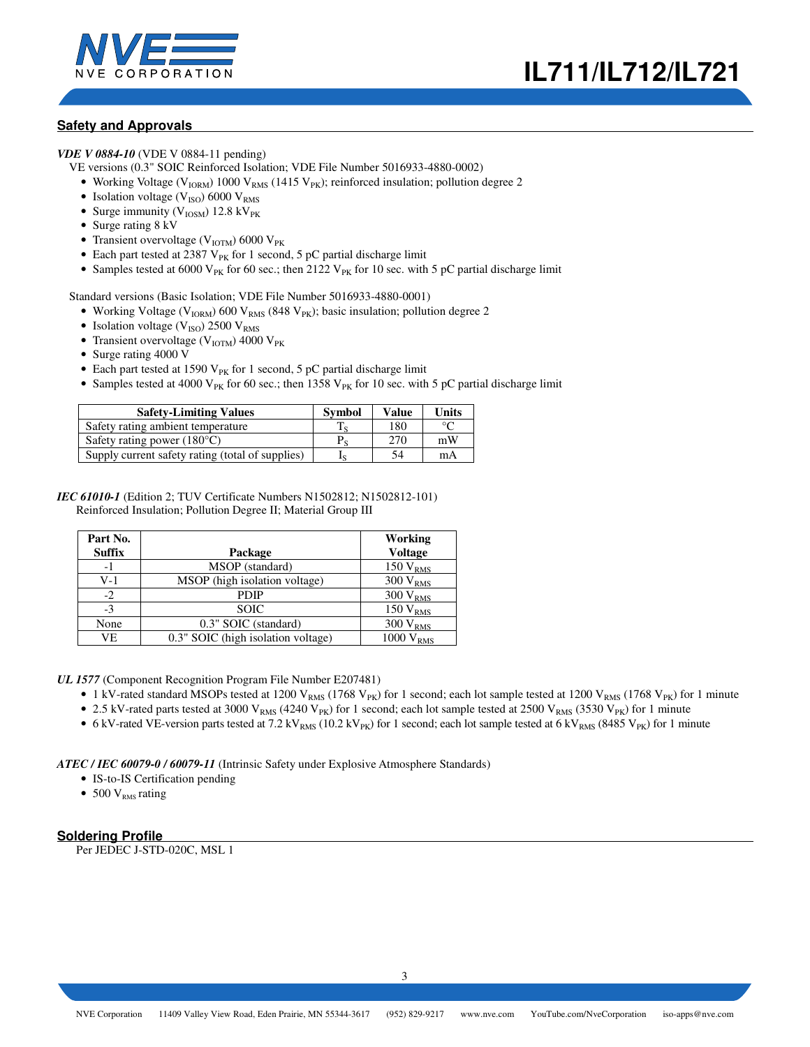



## **Safety and Approvals**

*VDE V 0884-10* (VDE V 0884-11 pending)

- VE versions (0.3" SOIC Reinforced Isolation; VDE File Number 5016933-4880-0002)
	- Working Voltage ( $V_{IORM}$ ) 1000  $V_{RMS}$  (1415  $V_{PK}$ ); reinforced insulation; pollution degree 2
	- Isolation voltage ( $V_{ISO}$ ) 6000  $V_{RMS}$
	- Surge immunity ( $V_{\text{IOSM}}$ ) 12.8 kV<sub>PK</sub>
	- Surge rating 8 kV
	- Transient overvoltage ( $V_{IOTM}$ ) 6000  $V_{PK}$
	- Each part tested at 2387  $V_{PK}$  for 1 second, 5 pC partial discharge limit
	- Samples tested at 6000 V<sub>PK</sub> for 60 sec.; then 2122 V<sub>PK</sub> for 10 sec. with 5 pC partial discharge limit

Standard versions (Basic Isolation; VDE File Number 5016933-4880-0001)

- Working Voltage ( $V_{IORM}$ ) 600  $V_{RMS}$  (848  $V_{PK}$ ); basic insulation; pollution degree 2
- Isolation voltage ( $V_{\text{ISO}}$ ) 2500  $V_{\text{RMS}}$
- Transient overvoltage ( $V_{IOTM}$ ) 4000  $V_{PK}$
- Surge rating 4000 V
- Each part tested at 1590  $V_{PK}$  for 1 second, 5 pC partial discharge limit
- Samples tested at 4000 V<sub>PK</sub> for 60 sec.; then 1358 V<sub>PK</sub> for 10 sec. with 5 pC partial discharge limit

| <b>Safety-Limiting Values</b>                    | <b>Symbol</b> | <b>Value</b> | Units |
|--------------------------------------------------|---------------|--------------|-------|
| Safety rating ambient temperature                |               | 180          | ഀ     |
| Safety rating power $(180^{\circ}C)$             | $P_{S}$       | 270          | mW    |
| Supply current safety rating (total of supplies) |               | 54           | mA    |

#### *IEC 61010-1* (Edition 2; TUV Certificate Numbers N1502812; N1502812-101) Reinforced Insulation; Pollution Degree II; Material Group III

| Part No.<br><b>Suffix</b> | Package                            | Working<br><b>Voltage</b> |
|---------------------------|------------------------------------|---------------------------|
| -1                        | MSOP (standard)                    | $150\,\mathrm{V_{RMS}}$   |
| V-1                       | MSOP (high isolation voltage)      | $300 V_{RMS}$             |
| $-2$                      | <b>PDIP</b>                        | $300 V_{RMS}$             |
| $-3$                      | <b>SOIC</b>                        | 150 V <sub>RMS</sub>      |
| None                      | 0.3" SOIC (standard)               | $300 V_{RMS}$             |
| VE                        | 0.3" SOIC (high isolation voltage) | 1000 V <sub>RMS</sub>     |

*UL 1577* (Component Recognition Program File Number E207481)

- 1 kV-rated standard MSOPs tested at 1200 V<sub>RMS</sub> (1768 V<sub>PK</sub>) for 1 second; each lot sample tested at 1200 V<sub>RMS</sub> (1768 V<sub>PK</sub>) for 1 minute
- 2.5 kV-rated parts tested at 3000 V<sub>RMS</sub> (4240 V<sub>PK</sub>) for 1 second; each lot sample tested at 2500 V<sub>RMS</sub> (3530 V<sub>PK</sub>) for 1 minute
- 6 kV-rated VE-version parts tested at 7.2 kV<sub>RMS</sub> (10.2 kV<sub>PK</sub>) for 1 second; each lot sample tested at 6 kV<sub>RMS</sub> (8485 V<sub>PK</sub>) for 1 minute

*ATEC / IEC 60079-0 / 60079-11* (Intrinsic Safety under Explosive Atmosphere Standards)

- IS-to-IS Certification pending
- 500  $V<sub>RMS</sub>$  rating

## **Soldering Profile**

Per JEDEC J-STD-020C, MSL 1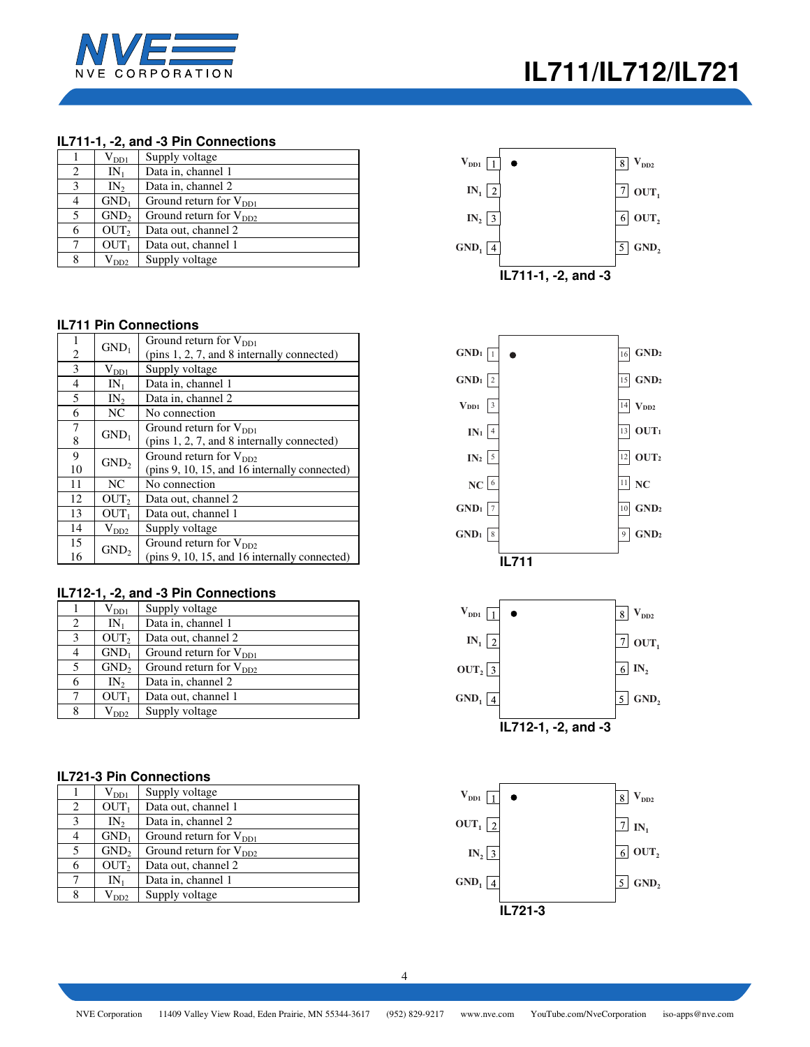

## **IL711-1, -2, and -3 Pin Connections**

|   | ${\rm V}_{\rm DD1}$ | Supply voltage              |
|---|---------------------|-----------------------------|
| 2 | $IN_1$              | Data in, channel 1          |
| 3 | IN <sub>2</sub>     | Data in, channel 2          |
| 4 | GND <sub>1</sub>    | Ground return for $V_{DD1}$ |
| 5 | GND <sub>2</sub>    | Ground return for $V_{DD2}$ |
| 6 | OUT <sub>2</sub>    | Data out, channel 2         |
| 7 | OUT <sub>1</sub>    | Data out, channel 1         |
| 8 | $\rm V_{DD2}$       | Supply voltage              |

## **IL711 Pin Connections**

| 1  |                               | Ground return for $V_{DD1}$                   |  |  |  |  |  |
|----|-------------------------------|-----------------------------------------------|--|--|--|--|--|
| 2  | $GND_1$                       | (pins 1, 2, 7, and 8 internally connected)    |  |  |  |  |  |
| 3  | $V_{DD1}$                     | Supply voltage                                |  |  |  |  |  |
| 4  | $IN_1$                        | Data in, channel 1                            |  |  |  |  |  |
| 5  | IN <sub>2</sub>               | Data in, channel 2                            |  |  |  |  |  |
| 6  | NC                            | No connection                                 |  |  |  |  |  |
| 7  | $GND_1$                       | Ground return for $V_{DD1}$                   |  |  |  |  |  |
| 8  |                               | (pins 1, 2, 7, and 8 internally connected)    |  |  |  |  |  |
|    |                               | Ground return for $V_{DD2}$                   |  |  |  |  |  |
| 9  |                               |                                               |  |  |  |  |  |
| 10 | GND <sub>2</sub>              | (pins 9, 10, 15, and 16 internally connected) |  |  |  |  |  |
| 11 | NC                            | No connection                                 |  |  |  |  |  |
| 12 | OUT <sub>2</sub>              | Data out, channel 2                           |  |  |  |  |  |
| 13 | OUT <sub>1</sub>              | Data out, channel 1                           |  |  |  |  |  |
| 14 |                               | Supply voltage                                |  |  |  |  |  |
| 15 | $V_{DD2}$<br>GND <sub>2</sub> | Ground return for $V_{DD2}$                   |  |  |  |  |  |

## **IL712-1, -2, and -3 Pin Connections**

|   | $\rm V_{DD1}$    | Supply voltage              |
|---|------------------|-----------------------------|
| 2 | $IN_1$           | Data in, channel 1          |
| 3 | OUT <sub>2</sub> | Data out, channel 2         |
| 4 | $GND_1$          | Ground return for $V_{DD1}$ |
| 5 | GND <sub>2</sub> | Ground return for $V_{DD2}$ |
| 6 | $IN_{2}$         | Data in, channel 2          |
| 7 | OUT <sub>1</sub> | Data out, channel 1         |
| 8 | $V_{DD2}$        | Supply voltage              |

## **IL721-3 Pin Connections**

|                | $\rm V_{DD1}$    | Supply voltage              |
|----------------|------------------|-----------------------------|
| 2              | OUT <sub>1</sub> | Data out, channel 1         |
| 3              | $IN_{2}$         | Data in, channel 2          |
| $\overline{4}$ | GND <sub>1</sub> | Ground return for $V_{DD1}$ |
| 5              | GND <sub>2</sub> | Ground return for $V_{DD2}$ |
| 6              | OUT <sub>2</sub> | Data out, channel 2         |
| 7              | $IN_1$           | Data in, channel 1          |
| 8              | $V_{DD2}$        | Supply voltage              |







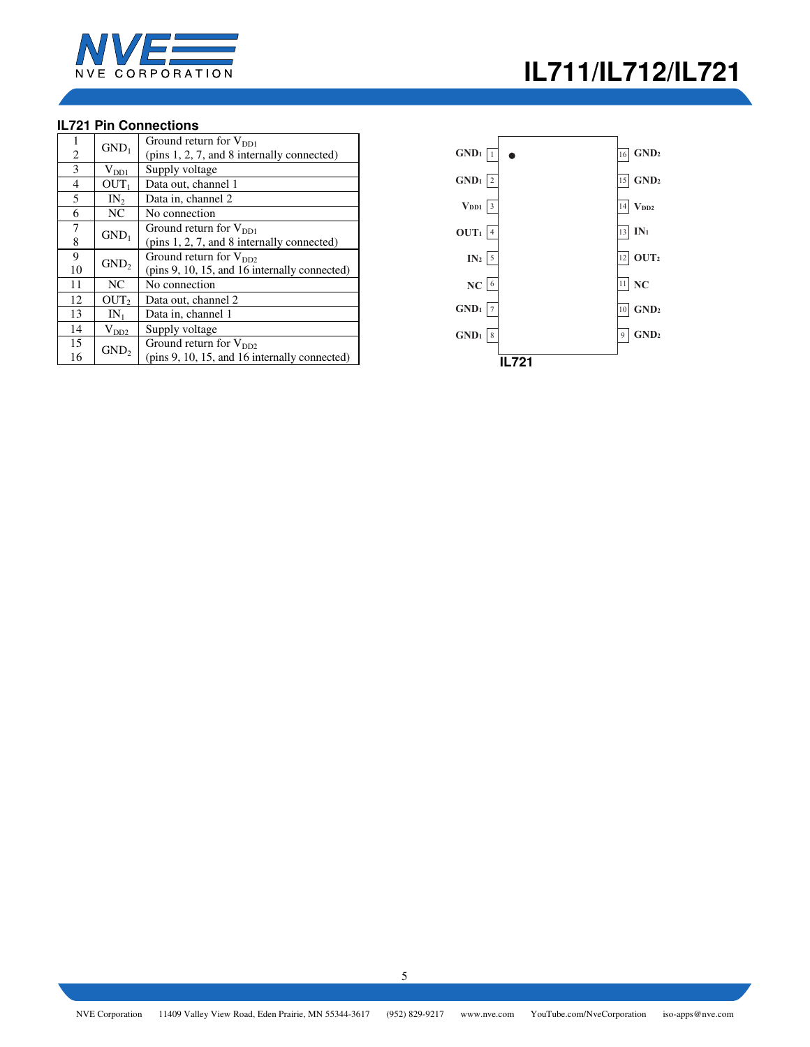

# **IL721 Pin Connections**

| 1  |                  | Ground return for $V_{DD1}$                   |  |  |  |  |  |  |
|----|------------------|-----------------------------------------------|--|--|--|--|--|--|
| 2  | $GND_1$          | (pins 1, 2, 7, and 8 internally connected)    |  |  |  |  |  |  |
| 3  | $V_{DD1}$        | Supply voltage                                |  |  |  |  |  |  |
| 4  | OUT <sub>1</sub> | Data out, channel 1                           |  |  |  |  |  |  |
| 5  | $IN_2$           | Data in, channel 2                            |  |  |  |  |  |  |
| 6  | NC               | No connection                                 |  |  |  |  |  |  |
| 7  | GND <sub>1</sub> | Ground return for $V_{DD1}$                   |  |  |  |  |  |  |
| 8  |                  | (pins 1, 2, 7, and 8 internally connected)    |  |  |  |  |  |  |
| 9  |                  | Ground return for $V_{DD2}$                   |  |  |  |  |  |  |
| 10 | GND <sub>2</sub> | (pins 9, 10, 15, and 16 internally connected) |  |  |  |  |  |  |
| 11 | NC.              | No connection                                 |  |  |  |  |  |  |
| 12 | OUT <sub>2</sub> | Data out, channel 2                           |  |  |  |  |  |  |
| 13 | $IN_1$           | Data in, channel 1                            |  |  |  |  |  |  |
| 14 | $V_{DD2}$        | Supply voltage                                |  |  |  |  |  |  |
| 15 |                  | Ground return for $V_{DD2}$                   |  |  |  |  |  |  |
| 16 | GND <sub>2</sub> | (pins 9, 10, 15, and 16 internally connected) |  |  |  |  |  |  |

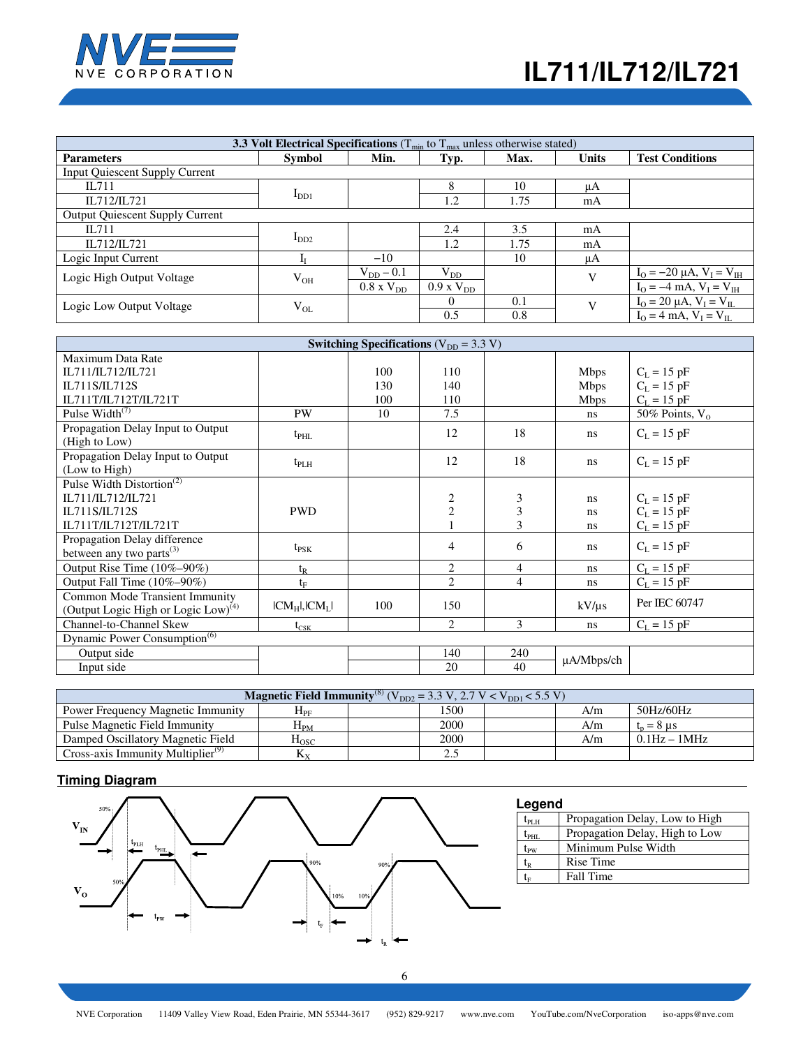

| <b>3.3 Volt Electrical Specifications</b> ( $T_{min}$ to $T_{max}$ unless otherwise stated) |               |                     |                        |      |              |                                                    |  |  |
|---------------------------------------------------------------------------------------------|---------------|---------------------|------------------------|------|--------------|----------------------------------------------------|--|--|
| <b>Parameters</b>                                                                           | <b>Symbol</b> | Min.                | Typ.                   | Max. | <b>Units</b> | <b>Test Conditions</b>                             |  |  |
| <b>Input Quiescent Supply Current</b>                                                       |               |                     |                        |      |              |                                                    |  |  |
| II.711                                                                                      |               |                     | 8                      | 10   | μA           |                                                    |  |  |
| IL712/IL721                                                                                 | $I_{DD1}$     |                     | 1.2                    | 1.75 | mA           |                                                    |  |  |
| <b>Output Quiescent Supply Current</b>                                                      |               |                     |                        |      |              |                                                    |  |  |
| II.711                                                                                      |               |                     | 2.4                    | 3.5  | mA           |                                                    |  |  |
| IL712/IL721                                                                                 | $I_{DD2}$     |                     | 1.2                    | 1.75 | mA           |                                                    |  |  |
| Logic Input Current                                                                         |               | $-10$               |                        | 10   | μA           |                                                    |  |  |
| Logic High Output Voltage                                                                   | $V_{OH}$      | $V_{DD}$ – 0.1      | $\rm V_{DD}$           |      | $\mathbf{V}$ | $I_{\rm O} = -20 \mu A$ , $V_{\rm I} = V_{\rm IH}$ |  |  |
|                                                                                             |               | $0.8 \times V_{DD}$ | $0.9 \text{ x V}_{DD}$ |      |              | $I_{O} = -4$ mA, $V_{I} = V_{IH}$                  |  |  |
| Logic Low Output Voltage                                                                    | $V_{OL}$      |                     | $\Omega$               | 0.1  | $\mathbf{V}$ | $I_{O} = 20 \mu A$ , $V_{I} = V_{II}$              |  |  |
|                                                                                             |               |                     | 0.5                    | 0.8  |              | $I_{\Omega} = 4$ mA, $V_{I} = V_{II}$              |  |  |

| Switching Specifications ( $V_{DD}$ = 3.3 V)    |                     |     |                |     |               |                   |  |
|-------------------------------------------------|---------------------|-----|----------------|-----|---------------|-------------------|--|
| Maximum Data Rate                               |                     |     |                |     |               |                   |  |
| IL711/IL712/IL721                               |                     | 100 | 110            |     | <b>Mbps</b>   | $C_L = 15$ pF     |  |
| IL711S/IL712S                                   |                     | 130 | 140            |     | <b>Mbps</b>   | $C_L = 15$ pF     |  |
| IL711T/IL712T/IL721T                            |                     | 100 | 110            |     | <b>Mbps</b>   | $C_L = 15$ pF     |  |
| Pulse Width <sup>(7)</sup>                      | PW                  | 10  | 7.5            |     | ns.           | 50% Points, $V_0$ |  |
| Propagation Delay Input to Output               | $t_{\rm PHL}$       |     | 12             | 18  | <sub>ns</sub> | $C_L = 15$ pF     |  |
| (High to Low)                                   |                     |     |                |     |               |                   |  |
| Propagation Delay Input to Output               | $t_{\rm PLH}$       |     | 12             | 18  | ns            | $C_L = 15$ pF     |  |
| (Low to High)                                   |                     |     |                |     |               |                   |  |
| Pulse Width Distortion <sup>(2)</sup>           |                     |     |                |     |               |                   |  |
| IL711/IL712/IL721                               |                     |     | 2              | 3   | ns            | $C_L = 15$ pF     |  |
| IL711S/IL712S                                   | <b>PWD</b>          |     | $\overline{2}$ | 3   | ns            | $C_L = 15$ pF     |  |
| IL711T/IL712T/IL721T                            |                     |     |                | 3   | ns            | $C_L = 15$ pF     |  |
| Propagation Delay difference                    |                     |     | $\overline{4}$ | 6   | ns.           | $C_L = 15$ pF     |  |
| between any two parts $^{(3)}$                  | $t_{PSK}$           |     |                |     |               |                   |  |
| Output Rise Time (10%-90%)                      | $t_{R}$             |     | $\overline{2}$ | 4   | ns            | $C_L = 15$ pF     |  |
| Output Fall Time (10%-90%)                      | $t_{\rm F}$         |     | $\overline{2}$ | 4   | ns.           | $C_{L} = 15$ pF   |  |
| Common Mode Transient Immunity                  |                     |     |                |     |               | Per IEC 60747     |  |
| (Output Logic High or Logic Low) <sup>(4)</sup> | $ CM_H $ , $ CM_L $ | 100 | 150            |     | $kV/\mu s$    |                   |  |
| Channel-to-Channel Skew                         | $t_{\text{CSK}}$    |     | 2              | 3   | ns            | $C_L = 15$ pF     |  |
| Dynamic Power Consumption <sup>(6)</sup>        |                     |     |                |     |               |                   |  |
| Output side                                     |                     |     | 140            | 240 |               |                   |  |
| Input side                                      |                     |     | 20             | 40  | µA/Mbps/ch    |                   |  |

| <b>Magnetic Field Immunity</b> <sup>(8)</sup> ( $V_{DD2} = 3.3$ V, 2.7 V < $V_{DD1}$ < 5.5 V) |                    |  |      |  |     |                |  |
|-----------------------------------------------------------------------------------------------|--------------------|--|------|--|-----|----------------|--|
| <b>Power Frequency Magnetic Immunity</b>                                                      | $\rm{H}_{\rm{PF}}$ |  | 1500 |  | A/m | 50Hz/60Hz      |  |
| Pulse Magnetic Field Immunity                                                                 | $H_{PM}$           |  | 2000 |  | A/m | $t_n = 8$ us   |  |
| Damped Oscillatory Magnetic Field                                                             | $H_{\rm{OSC}}$     |  | 2000 |  | A/m | $0.1Hz - 1MHz$ |  |
| Cross-axis Immunity Multiplier <sup>(9)</sup>                                                 | $K_{\rm x}$        |  | 2.5  |  |     |                |  |

# **Timing Diagram**



| Legend                                         |                                |  |  |  |  |  |
|------------------------------------------------|--------------------------------|--|--|--|--|--|
| $\rm t_{PLH}$                                  | Propagation Delay, Low to High |  |  |  |  |  |
| $\rm t_{\rm PHL}$                              | Propagation Delay, High to Low |  |  |  |  |  |
| $\rm t_{pw}$                                   | Minimum Pulse Width            |  |  |  |  |  |
| $\mathfrak{t}_{\scriptscriptstyle\mathrm{R}}$  | Rise Time                      |  |  |  |  |  |
| $\mathfrak{t}_{\scriptscriptstyle \mathrm{E}}$ | Fall Time                      |  |  |  |  |  |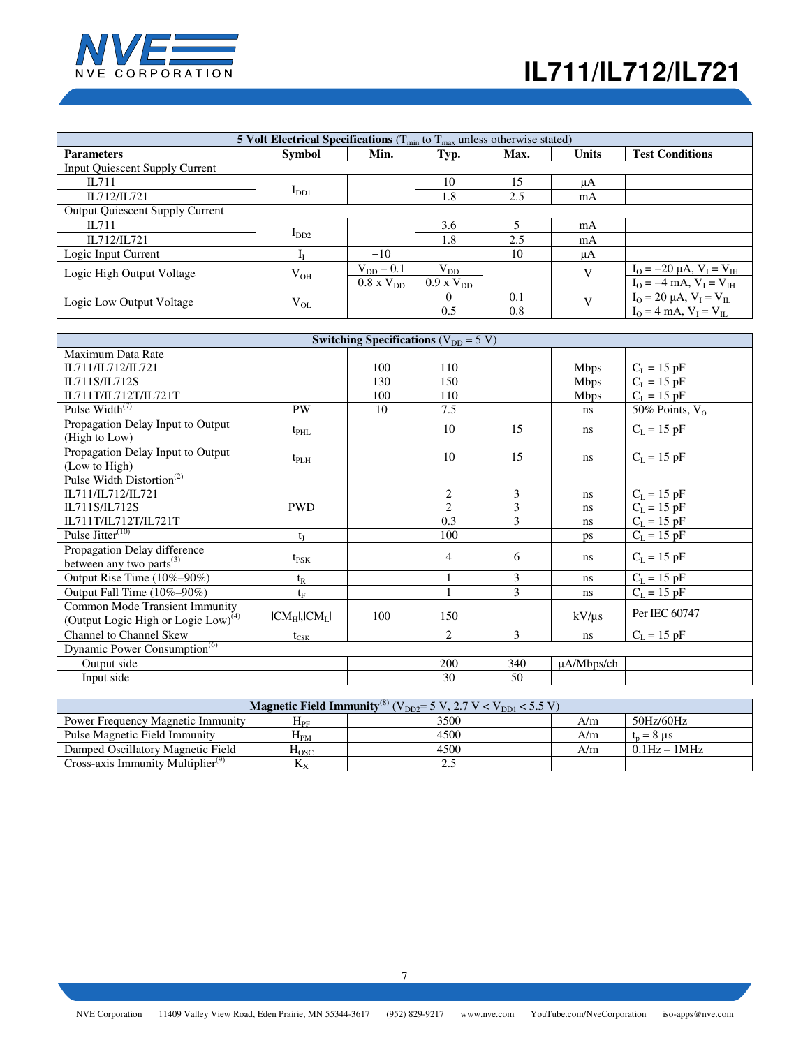

| <b>5 Volt Electrical Specifications</b> ( $T_{min}$ to $T_{max}$ unless otherwise stated)            |           |                     |                        |     |              |                                     |  |
|------------------------------------------------------------------------------------------------------|-----------|---------------------|------------------------|-----|--------------|-------------------------------------|--|
| <b>Test Conditions</b><br>Min.<br><b>Units</b><br><b>Symbol</b><br>Typ.<br>Max.<br><b>Parameters</b> |           |                     |                        |     |              |                                     |  |
| <b>Input Quiescent Supply Current</b>                                                                |           |                     |                        |     |              |                                     |  |
| II.711                                                                                               |           |                     | 10                     | 15  | μA           |                                     |  |
| IL712/IL721                                                                                          | $I_{DD1}$ |                     | 1.8                    | 2.5 | mA           |                                     |  |
| <b>Output Quiescent Supply Current</b>                                                               |           |                     |                        |     |              |                                     |  |
| IL711                                                                                                |           |                     | 3.6                    |     | mA           |                                     |  |
| IL712/IL721                                                                                          | $I_{DD2}$ |                     | 1.8                    | 2.5 | mA           |                                     |  |
| Logic Input Current                                                                                  |           | $-10$               |                        | 10  | μA           |                                     |  |
| Logic High Output Voltage                                                                            | $V_{OH}$  | $V_{DD}$ – 0.1      | $\rm V_{DD}$           |     | V            | $I_{O} = -20 \mu A, V_{I} = V_{IH}$ |  |
|                                                                                                      |           | $0.8 \times V_{DD}$ | $0.9 \text{ x V}_{DD}$ |     |              | $I_{O} = -4$ mA, $V_{I} = V_{IH}$   |  |
| Logic Low Output Voltage                                                                             | $V_{OL}$  |                     | $\Omega$               | 0.1 | $\mathbf{V}$ | $I_0 = 20 \mu A, V_I = V_{IL}$      |  |
|                                                                                                      |           |                     | 0.5                    | 0.8 |              | $I_{O} = 4$ mA, $V_{I} = V_{II}$    |  |

|                                          |                     | Switching Specifications ( $V_{DD} = 5 V$ ) |               |               |                 |                   |
|------------------------------------------|---------------------|---------------------------------------------|---------------|---------------|-----------------|-------------------|
| Maximum Data Rate                        |                     |                                             |               |               |                 |                   |
| IL711/IL712/IL721                        |                     | 100                                         | 110           |               | <b>Mbps</b>     | $C_L = 15$ pF     |
| IL711S/IL712S                            |                     | 130                                         | 150           |               | <b>Mbps</b>     | $C_L = 15$ pF     |
| IL711T/IL712T/IL721T                     |                     | 100                                         | 110           |               | <b>Mbps</b>     | $C_L = 15$ pF     |
| Pulse Width <sup>(7)</sup>               | <b>PW</b>           | 10                                          | 7.5           |               | ns              | 50% Points, $V_0$ |
| Propagation Delay Input to Output        | $t_{\rm PHL}$       |                                             | 10            | 15            | ns              | $C_L = 15$ pF     |
| (High to Low)                            |                     |                                             |               |               |                 |                   |
| Propagation Delay Input to Output        | $t_{\rm PLH}$       |                                             | 10            | 15            | ns              | $C_L = 15$ pF     |
| (Low to High)                            |                     |                                             |               |               |                 |                   |
| Pulse Width Distortion <sup>(2)</sup>    |                     |                                             |               |               |                 |                   |
| IL711/IL712/IL721                        |                     |                                             | $\frac{2}{2}$ | 3             | ns              | $C_L = 15$ pF     |
| IL711S/IL712S                            | <b>PWD</b>          |                                             |               | 3             | ns              | $C_L = 15$ pF     |
| IL711T/IL712T/IL721T                     |                     |                                             | 0.3           | 3             | ns              | $C_L = 15$ pF     |
| Pulse Jitter $(10)$                      | $t_I$               |                                             | 100           |               | ps              | $C_L = 15$ pF     |
| Propagation Delay difference             |                     |                                             | 4             | 6             |                 | $C_{L} = 15$ pF   |
| between any two parts <sup>(3)</sup>     | $t_{PSK}$           |                                             |               |               | ns              |                   |
| Output Rise Time (10%-90%)               | $t_{R}$             |                                             |               | 3             | <sub>ns</sub>   | $C_L = 15$ pF     |
| Output Fall Time (10%-90%)               | $t_{\rm F}$         |                                             |               | $\mathcal{E}$ | <sub>ns</sub>   | $C_{L} = 15$ pF   |
| Common Mode Transient Immunity           |                     |                                             |               |               |                 | Per IEC 60747     |
| (Output Logic High or Logic Low) $(4)$   | $ CM_H $ , $ CM_L $ | 100                                         | 150           |               | $kV/\mu s$      |                   |
| <b>Channel to Channel Skew</b>           | $t_{\rm CSK}$       |                                             | 2             | 3             | <sub>ns</sub>   | $C_{L} = 15$ pF   |
| Dynamic Power Consumption <sup>(6)</sup> |                     |                                             |               |               |                 |                   |
| Output side                              |                     |                                             | 200           | 340           | $\mu$ A/Mbps/ch |                   |
| Input side                               |                     |                                             | 30            | 50            |                 |                   |

| <b>Magnetic Field Immunity</b> <sup>(8)</sup> $(V_{DD2} = 5 V, 2.7 V < V_{DD1} < 5.5 V)$ |                    |  |              |  |     |                |
|------------------------------------------------------------------------------------------|--------------------|--|--------------|--|-----|----------------|
| Power Frequency Magnetic Immunity                                                        | ${\rm H}_{\rm PF}$ |  | 3500         |  | A/m | 50Hz/60Hz      |
| Pulse Magnetic Field Immunity                                                            | $\rm H_{PM}$       |  | 4500         |  | A/m | $t_n = 8$ us   |
| Damped Oscillatory Magnetic Field                                                        | $_{\mathrm{Hosc}}$ |  | 4500         |  | A/m | $0.1Hz - 1MHz$ |
| Cross-axis Immunity Multiplier $(9)$                                                     | Λv                 |  | າ ເ<br>ل و ک |  |     |                |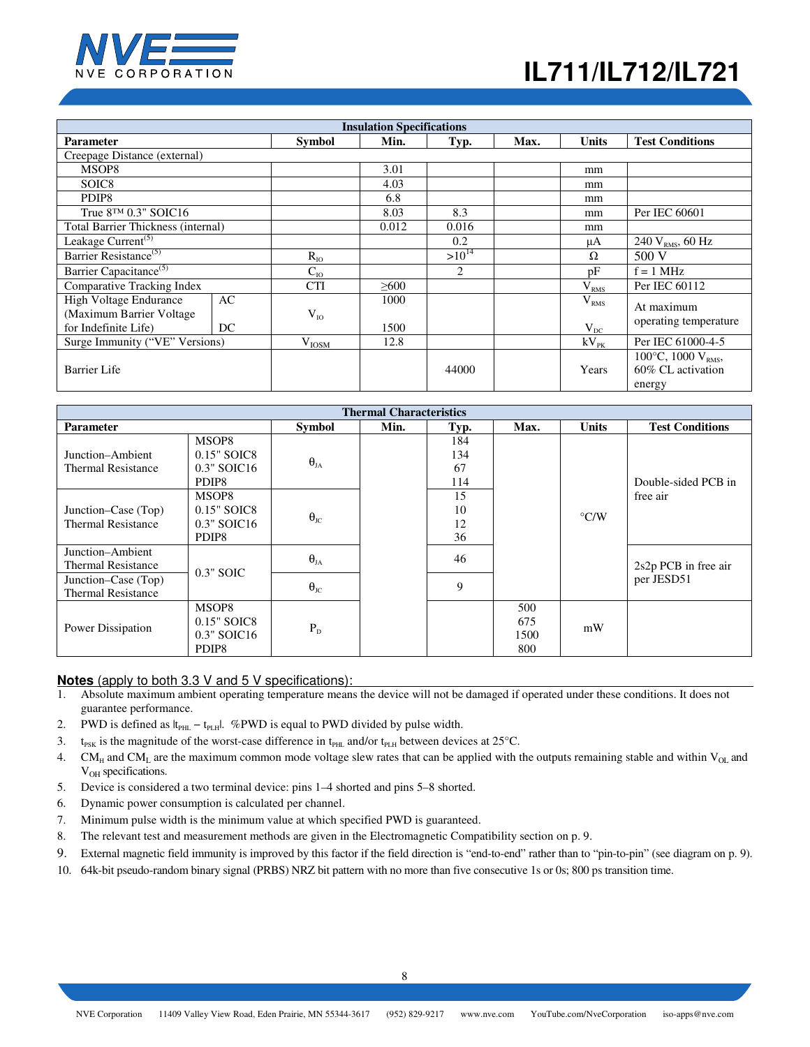

| <b>Insulation Specifications</b>                                           |          |               |              |            |      |                              |                                                                                  |
|----------------------------------------------------------------------------|----------|---------------|--------------|------------|------|------------------------------|----------------------------------------------------------------------------------|
| <b>Parameter</b>                                                           |          | <b>Symbol</b> | Min.         | Typ.       | Max. | <b>Units</b>                 | <b>Test Conditions</b>                                                           |
| Creepage Distance (external)                                               |          |               |              |            |      |                              |                                                                                  |
| MSOP8                                                                      |          |               | 3.01         |            |      | mm                           |                                                                                  |
| SOIC <sub>8</sub>                                                          |          |               | 4.03         |            |      | mm                           |                                                                                  |
| PDIP <sub>8</sub>                                                          |          |               | 6.8          |            |      | mm                           |                                                                                  |
| True $8^{TM}$ 0.3" SOIC16                                                  |          |               | 8.03         | 8.3        |      | mm                           | Per IEC 60601                                                                    |
| Total Barrier Thickness (internal)                                         |          |               | 0.012        | 0.016      |      | mm                           |                                                                                  |
| Leakage Current <sup>(5)</sup>                                             |          |               |              | 0.2        |      | μA                           | 240 $V_{RMS}$ , 60 Hz                                                            |
| Barrier Resistance <sup>(5)</sup>                                          |          | $R_{IO}$      |              | $>10^{14}$ |      | Ω                            | 500 V                                                                            |
| Barrier Capacitance <sup>(5)</sup>                                         |          | $C_{IO}$      |              | 2          |      | pF                           | $f = 1$ MHz                                                                      |
| Comparative Tracking Index                                                 |          | <b>CTI</b>    | $\geq 600$   |            |      | V <sub>RMS</sub>             | Per IEC 60112                                                                    |
| High Voltage Endurance<br>(Maximum Barrier Voltage<br>for Indefinite Life) | AC<br>DC | $V_{I0}$      | 1000<br>1500 |            |      | V <sub>RMS</sub><br>$V_{DC}$ | At maximum<br>operating temperature                                              |
| Surge Immunity ("VE" Versions)                                             |          | $V_{IOSM}$    | 12.8         |            |      | $kV_{PK}$                    | Per IEC 61000-4-5                                                                |
| Barrier Life                                                               |          |               |              | 44000      |      | Years                        | 100 $\rm{^{\circ}C}$ , 1000 $\rm{V}_{\rm{RMS}}$ ,<br>60% CL activation<br>energy |

| <b>Thermal Characteristics</b>                   |                                                              |                      |      |                         |                           |                    |                        |
|--------------------------------------------------|--------------------------------------------------------------|----------------------|------|-------------------------|---------------------------|--------------------|------------------------|
| <b>Parameter</b>                                 |                                                              | <b>Symbol</b>        | Min. | Typ.                    | Max.                      | <b>Units</b>       | <b>Test Conditions</b> |
| Junction–Ambient<br><b>Thermal Resistance</b>    | MSOP8<br>$0.15"$ SOIC8<br>$0.3"$ SOIC16<br>PDIP8             | $\theta_{\rm JA}$    |      | 184<br>134<br>67<br>114 |                           |                    | Double-sided PCB in    |
| Junction–Case (Top)<br><b>Thermal Resistance</b> | MSOP8<br>$0.15"$ SOIC8<br>$0.3"$ SOIC16<br>PDIP <sub>8</sub> | $\Theta_{\text{JC}}$ |      | 15<br>10<br>12<br>36    |                           | $\rm ^{\circ}$ C/W | free air               |
| Junction–Ambient<br><b>Thermal Resistance</b>    | $0.3"$ SOIC                                                  | $\Theta_{JA}$        |      | 46                      |                           |                    | $2s2p$ PCB in free air |
| Junction–Case (Top)<br><b>Thermal Resistance</b> |                                                              | $\Theta_{\rm JC}$    |      | 9                       |                           |                    | per JESD51             |
| Power Dissipation                                | MSOP8<br>$0.15"$ SOIC8<br>$0.3"$ SOIC16<br>PDIP <sub>8</sub> | $P_D$                |      |                         | 500<br>675<br>1500<br>800 | mW                 |                        |

#### **Notes** (apply to both 3.3 V and 5 V specifications):

- 1. Absolute maximum ambient operating temperature means the device will not be damaged if operated under these conditions. It does not guarantee performance.
- 2. PWD is defined as  $|t_{PHL} t_{PLH}|$ . %PWD is equal to PWD divided by pulse width.
- 3. t<sub>PSK</sub> is the magnitude of the worst-case difference in t<sub>PHL</sub> and/or t<sub>PLH</sub> between devices at 25°C.
- 4. CM<sub>H</sub> and CM<sub>L</sub> are the maximum common mode voltage slew rates that can be applied with the outputs remaining stable and within V<sub>OL</sub> and V<sub>OH</sub> specifications.
- 5. Device is considered a two terminal device: pins 1–4 shorted and pins 5–8 shorted.
- 6. Dynamic power consumption is calculated per channel.
- 7. Minimum pulse width is the minimum value at which specified PWD is guaranteed.
- 8. The relevant test and measurement methods are given in the Electromagnetic Compatibility section on p. 9.
- 9. External magnetic field immunity is improved by this factor if the field direction is "end-to-end" rather than to "pin-to-pin" (see diagram on p. 9).
- 10. 64k-bit pseudo-random binary signal (PRBS) NRZ bit pattern with no more than five consecutive 1s or 0s; 800 ps transition time.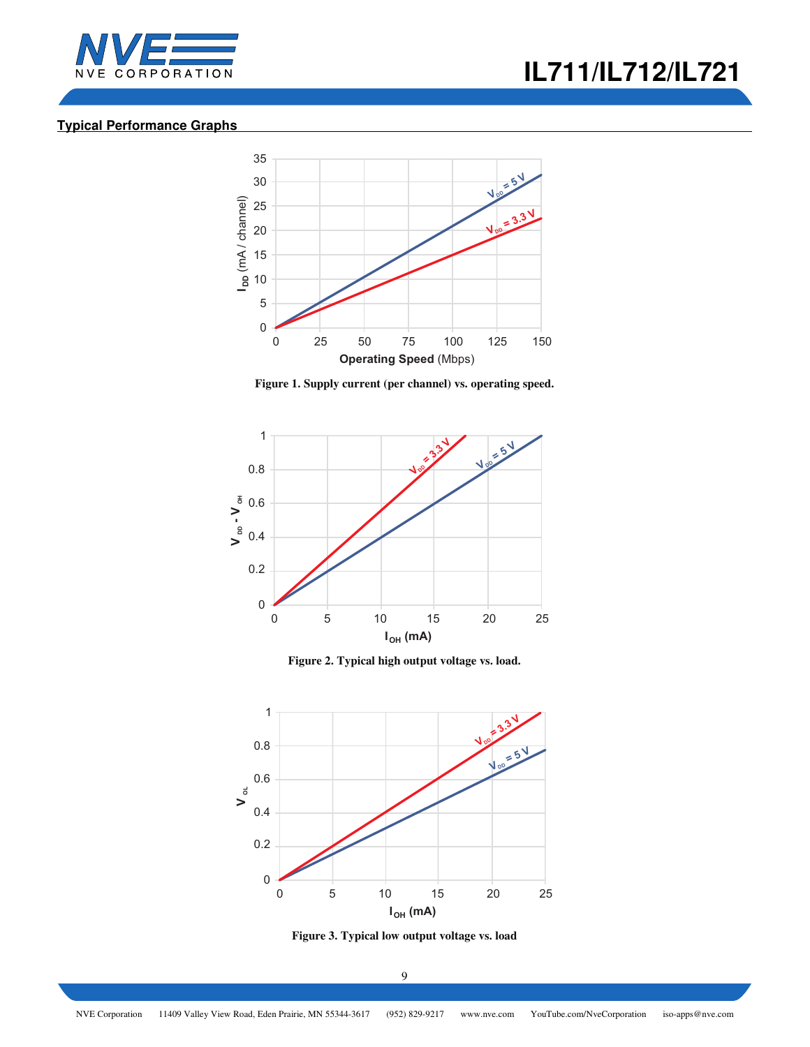



## **Typical Performance Graphs**



**Figure 1. Supply current (per channel) vs. operating speed.** 



**Figure 2. Typical high output voltage vs. load.** 



**Figure 3. Typical low output voltage vs. load**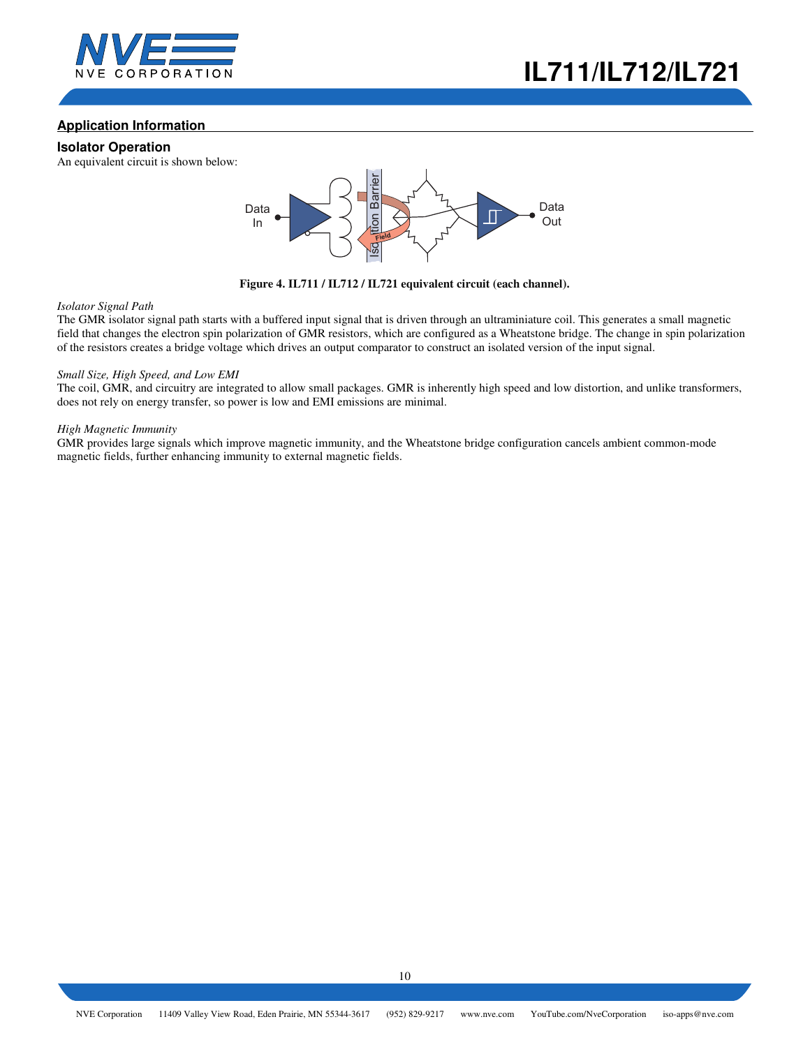

## **Application Information**

### **Isolator Operation**

An equivalent circuit is shown below:



**Figure 4. IL711 / IL712 / IL721 equivalent circuit (each channel).** 

#### *Isolator Signal Path*

The GMR isolator signal path starts with a buffered input signal that is driven through an ultraminiature coil. This generates a small magnetic field that changes the electron spin polarization of GMR resistors, which are configured as a Wheatstone bridge. The change in spin polarization of the resistors creates a bridge voltage which drives an output comparator to construct an isolated version of the input signal.

#### *Small Size, High Speed, and Low EMI*

The coil, GMR, and circuitry are integrated to allow small packages. GMR is inherently high speed and low distortion, and unlike transformers, does not rely on energy transfer, so power is low and EMI emissions are minimal.

#### *High Magnetic Immunity*

GMR provides large signals which improve magnetic immunity, and the Wheatstone bridge configuration cancels ambient common-mode magnetic fields, further enhancing immunity to external magnetic fields.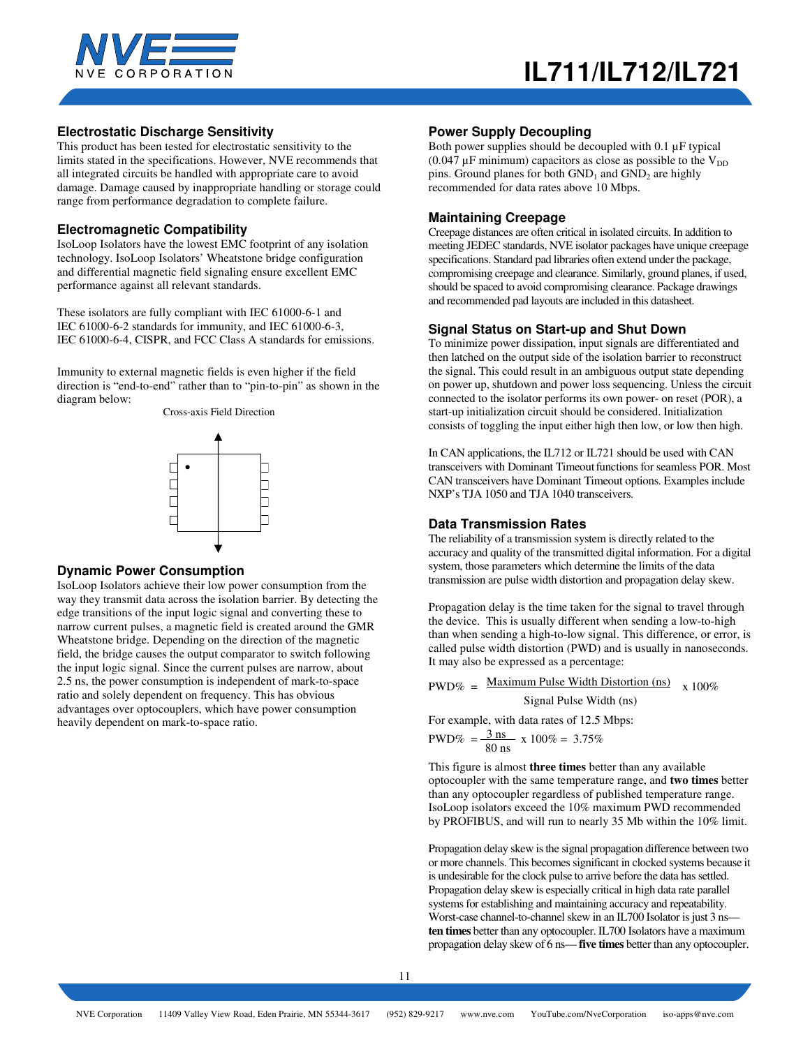

### **Electrostatic Discharge Sensitivity**

This product has been tested for electrostatic sensitivity to the limits stated in the specifications. However, NVE recommends that all integrated circuits be handled with appropriate care to avoid damage. Damage caused by inappropriate handling or storage could range from performance degradation to complete failure.

### **Electromagnetic Compatibility**

IsoLoop Isolators have the lowest EMC footprint of any isolation technology. IsoLoop Isolators' Wheatstone bridge configuration and differential magnetic field signaling ensure excellent EMC performance against all relevant standards.

These isolators are fully compliant with IEC 61000-6-1 and IEC 61000-6-2 standards for immunity, and IEC 61000-6-3, IEC 61000-6-4, CISPR, and FCC Class A standards for emissions.

Immunity to external magnetic fields is even higher if the field direction is "end-to-end" rather than to "pin-to-pin" as shown in the diagram below:

Cross-axis Field Direction



#### **Dynamic Power Consumption**

IsoLoop Isolators achieve their low power consumption from the way they transmit data across the isolation barrier. By detecting the edge transitions of the input logic signal and converting these to narrow current pulses, a magnetic field is created around the GMR Wheatstone bridge. Depending on the direction of the magnetic field, the bridge causes the output comparator to switch following the input logic signal. Since the current pulses are narrow, about 2.5 ns, the power consumption is independent of mark-to-space ratio and solely dependent on frequency. This has obvious advantages over optocouplers, which have power consumption heavily dependent on mark-to-space ratio.

#### **Power Supply Decoupling**

Both power supplies should be decoupled with 0.1 µF typical (0.047  $\mu$ F minimum) capacitors as close as possible to the  $V_{DD}$ pins. Ground planes for both  $GND_1$  and  $GND_2$  are highly recommended for data rates above 10 Mbps.

#### **Maintaining Creepage**

Creepage distances are often critical in isolated circuits. In addition to meeting JEDEC standards, NVE isolator packages have unique creepage specifications. Standard pad libraries often extend under the package, compromising creepage and clearance. Similarly, ground planes, if used, should be spaced to avoid compromising clearance. Package drawings and recommended pad layouts are included in this datasheet.

#### **Signal Status on Start-up and Shut Down**

To minimize power dissipation, input signals are differentiated and then latched on the output side of the isolation barrier to reconstruct the signal. This could result in an ambiguous output state depending on power up, shutdown and power loss sequencing. Unless the circuit connected to the isolator performs its own power- on reset (POR), a start-up initialization circuit should be considered. Initialization consists of toggling the input either high then low, or low then high.

In CAN applications, the IL712 or IL721 should be used with CAN transceivers with Dominant Timeout functions for seamless POR. Most CAN transceivers have Dominant Timeout options. Examples include NXP's TJA 1050 and TJA 1040 transceivers.

### **Data Transmission Rates**

The reliability of a transmission system is directly related to the accuracy and quality of the transmitted digital information. For a digital system, those parameters which determine the limits of the data transmission are pulse width distortion and propagation delay skew.

Propagation delay is the time taken for the signal to travel through the device. This is usually different when sending a low-to-high than when sending a high-to-low signal. This difference, or error, is called pulse width distortion (PWD) and is usually in nanoseconds. It may also be expressed as a percentage:

$$
PWD\% = \frac{\text{Maximum Pulse Width Distortion (ns)}}{\text{Signal Pulse Width (ns)}} \times 100\%
$$

For example, with data rates of 12.5 Mbps:

$$
PWD\% = \frac{3 \text{ ns}}{80 \text{ ns}} \times 100\% = 3.75\%
$$

This figure is almost **three times** better than any available optocoupler with the same temperature range, and **two times** better than any optocoupler regardless of published temperature range. IsoLoop isolators exceed the 10% maximum PWD recommended by PROFIBUS, and will run to nearly 35 Mb within the 10% limit.

Propagation delay skew is the signal propagation difference between two or more channels. This becomes significant in clocked systems because it is undesirable for the clock pulse to arrive before the data has settled. Propagation delay skew is especially critical in high data rate parallel systems for establishing and maintaining accuracy and repeatability. Worst-case channel-to-channel skew in an IL700 Isolator is just 3 ns **ten times** better than any optocoupler. IL700 Isolators have a maximum propagation delay skew of 6 ns— **five times** better than any optocoupler.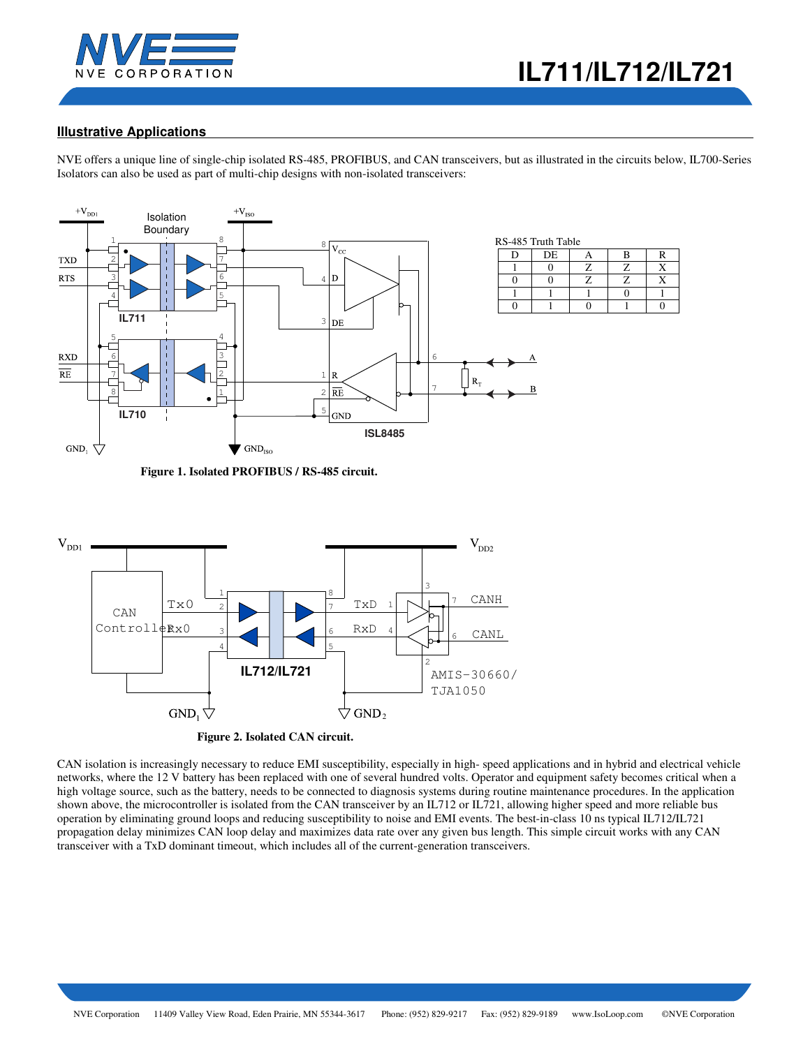

# **Illustrative Applications**

NVE offers a unique line of single-chip isolated RS-485, PROFIBUS, and CAN transceivers, but as illustrated in the circuits below, IL700-Series Isolators can also be used as part of multi-chip designs with non-isolated transceivers:



 **Figure 1. Isolated PROFIBUS / RS-485 circuit.** 



 **Figure 2. Isolated CAN circuit.** 

CAN isolation is increasingly necessary to reduce EMI susceptibility, especially in high- speed applications and in hybrid and electrical vehicle networks, where the 12 V battery has been replaced with one of several hundred volts. Operator and equipment safety becomes critical when a high voltage source, such as the battery, needs to be connected to diagnosis systems during routine maintenance procedures. In the application shown above, the microcontroller is isolated from the CAN transceiver by an IL712 or IL721, allowing higher speed and more reliable bus operation by eliminating ground loops and reducing susceptibility to noise and EMI events. The best-in-class 10 ns typical IL712/IL721 propagation delay minimizes CAN loop delay and maximizes data rate over any given bus length. This simple circuit works with any CAN transceiver with a TxD dominant timeout, which includes all of the current-generation transceivers.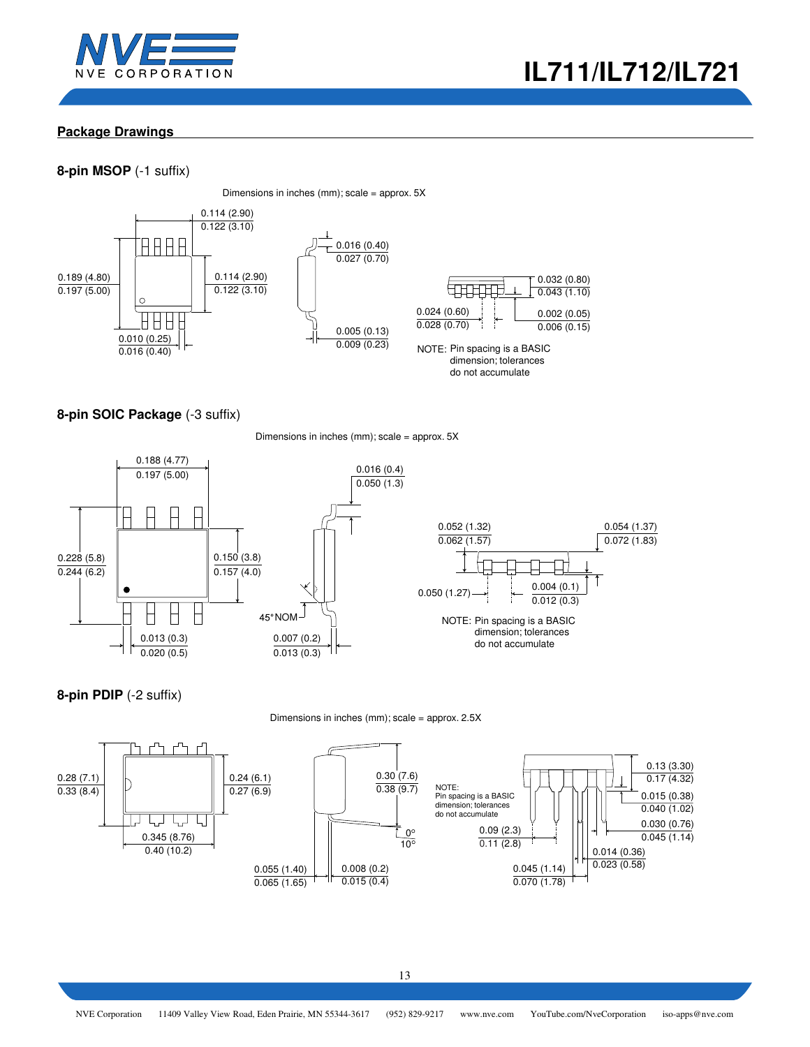



## **Package Drawings**

## **8-pin MSOP** (-1 suffix)

Dimensions in inches (mm); scale = approx. 5X



## **8-pin SOIC Package** (-3 suffix)

Dimensions in inches (mm); scale = approx. 5X



**8-pin PDIP** (-2 suffix)

Dimensions in inches (mm); scale = approx. 2.5X

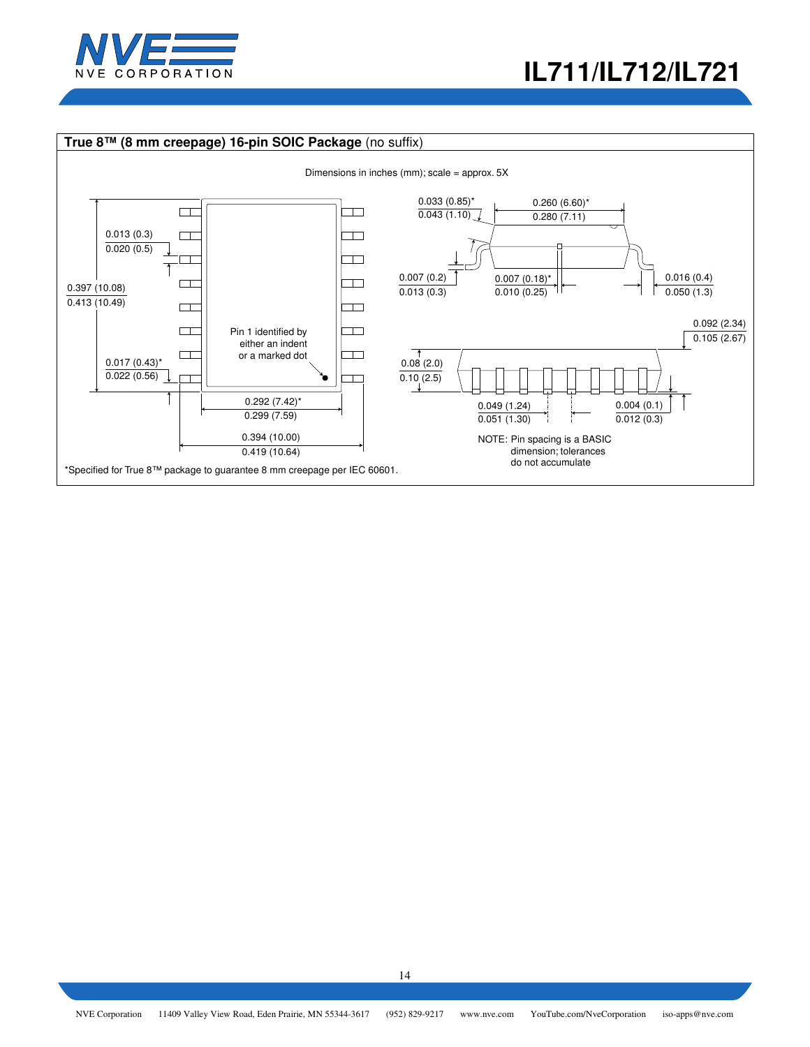

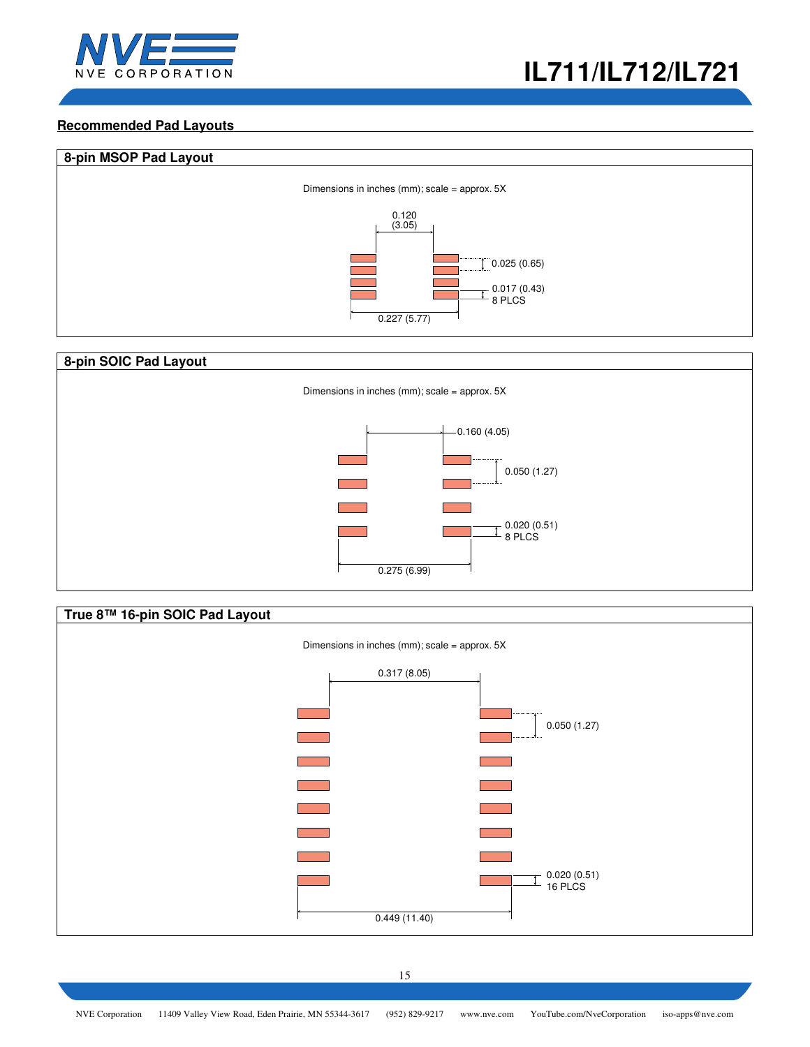

## **Recommended Pad Layouts**





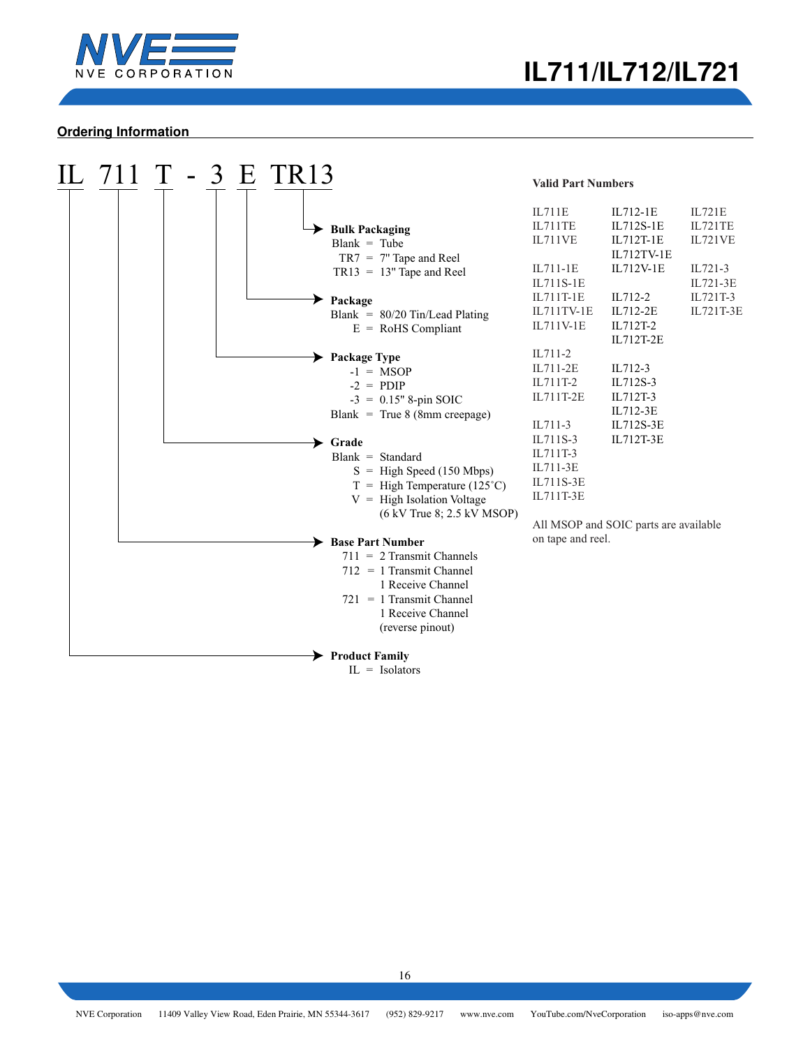

### **Ordering Information**

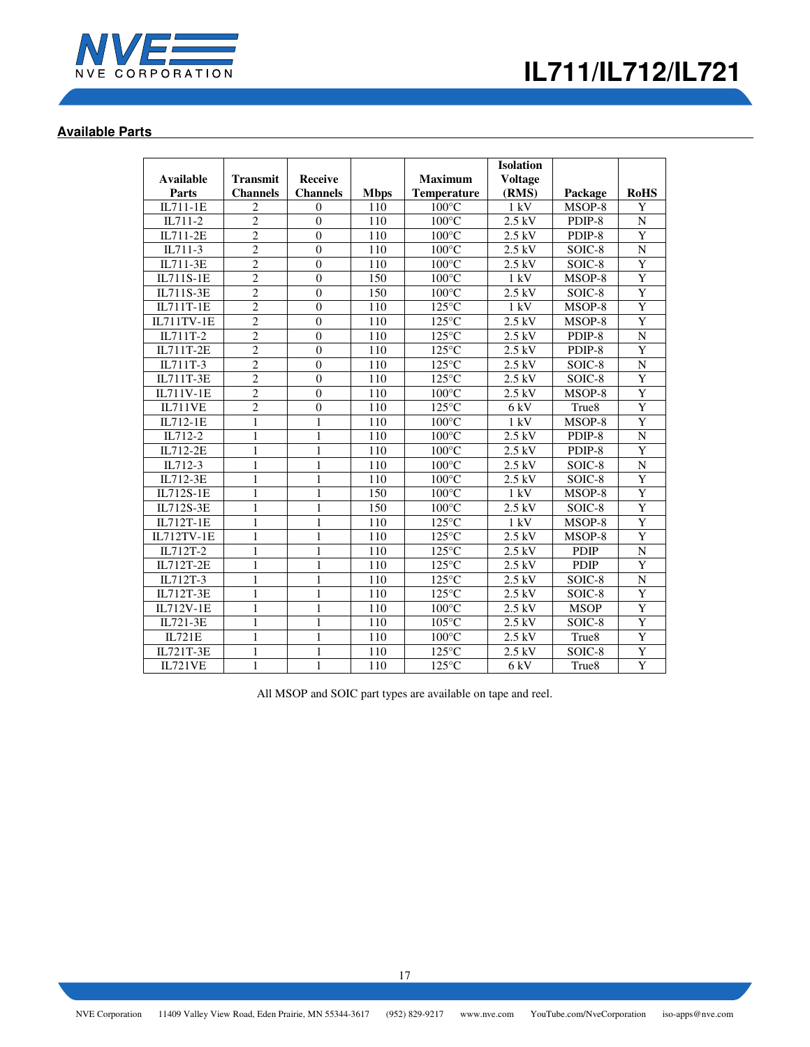

# **Available Parts**

| Available             | <b>Transmit</b> | <b>Receive</b>   |             | <b>Maximum</b>     | <b>Isolation</b><br><b>Voltage</b> |                   |                |
|-----------------------|-----------------|------------------|-------------|--------------------|------------------------------------|-------------------|----------------|
| Parts                 | <b>Channels</b> | <b>Channels</b>  | <b>Mbps</b> | <b>Temperature</b> | (RMS)                              | Package           | <b>RoHS</b>    |
| IL711-1E              | $\overline{c}$  | $\theta$         | 110         | $100^{\circ}$ C    | 1 kV                               | MSOP-8            | Y              |
| $\overline{IL}$ 711-2 | $\overline{2}$  | $\theta$         | 110         | $100^{\circ}$ C    | 2.5 kV                             | PDIP-8            | $\mathbf N$    |
| IL711-2E              | $\overline{2}$  | $\theta$         | 110         | $100^{\circ}$ C    | $2.5$ kV                           | PDIP-8            | Y              |
| IL711-3               | $\overline{c}$  | $\theta$         | 110         | $100^{\circ}$ C    | $2.5$ kV                           | SOIC-8            | N              |
| IL711-3E              | $\overline{2}$  | $\overline{0}$   | 110         | $100^{\circ}$ C    | $2.5$ kV                           | SOIC-8            | Y              |
| IL711S-1E             | $\overline{2}$  | $\overline{0}$   | 150         | $100^{\circ}$ C    | 1 kV                               | MSOP-8            | Y              |
| IL711S-3E             | $\overline{2}$  | $\overline{0}$   | 150         | $100^{\circ}$ C    | 2.5 kV                             | SOIC-8            | $\overline{Y}$ |
| IL711T-1E             | $\overline{2}$  | $\boldsymbol{0}$ | 110         | $125^{\circ}$ C    | $1 \text{ kV}$                     | MSOP-8            | $\overline{Y}$ |
| <b>IL711TV-1E</b>     | $\overline{2}$  | $\theta$         | 110         | $125^{\circ}$ C    | 2.5 kV                             | MSOP-8            | $\overline{Y}$ |
| IL711T-2              | $\overline{2}$  | $\theta$         | 110         | $125^{\circ}$ C    | 2.5 kV                             | PDIP-8            | ${\bf N}$      |
| IL711T-2E             | $\overline{2}$  | $\theta$         | 110         | $125^{\circ}$ C    | $2.5$ kV                           | PDIP-8            | Y              |
| IL711T-3              | $\overline{2}$  | $\boldsymbol{0}$ | 110         | $125^{\circ}$ C    | 2.5 kV                             | SOIC-8            | $\overline{N}$ |
| IL711T-3E             | $\overline{2}$  | $\mathbf{0}$     | 110         | $125^{\circ}$ C    | $2.5$ kV                           | SOIC-8            | Y              |
| IL711V-1E             | $\overline{2}$  | $\theta$         | 110         | $100^{\circ}$ C    | $2.5$ kV                           | MSOP-8            | Y              |
| <b>IL711VE</b>        | $\overline{2}$  | $\theta$         | 110         | $125^{\circ}$ C    | 6 kV                               | True <sub>8</sub> | $\overline{Y}$ |
| IL712-1E              | 1               | 1                | 110         | $100^{\circ}$ C    | 1 kV                               | MSOP-8            | Y              |
| IL712-2               | $\mathbf{1}$    | 1                | 110         | $100^{\circ}$ C    | 2.5 kV                             | PDIP-8            | N              |
| IL712-2E              | $\mathbf{1}$    | $\mathbf{1}$     | 110         | $100^{\circ}$ C    | $2.5$ kV                           | PDIP-8            | Y              |
| IL712-3               | $\mathbf{1}$    | 1                | 110         | $100^{\circ}$ C    | $2.5$ kV                           | SOIC-8            | N              |
| IL712-3E              | 1               | $\mathbf{1}$     | 110         | $100^{\circ}$ C    | $2.5$ kV                           | SOIC-8            | Y              |
| IL712S-1E             | 1               | $\mathbf{1}$     | 150         | $100^{\circ}$ C    | 1 kV                               | MSOP-8            | $\overline{Y}$ |
| IL712S-3E             | $\mathbf{1}$    | $\mathbf{1}$     | 150         | $100^{\circ}$ C    | 2.5 kV                             | SOIC-8            | Y              |
| IL712T-1E             | $\mathbf{1}$    | $\mathbf{1}$     | 110         | $125^{\circ}$ C    | $1 \text{ kV}$                     | MSOP-8            | $\overline{Y}$ |
| <b>IL712TV-1E</b>     | $\mathbf{1}$    | $\mathbf{1}$     | 110         | $125^{\circ}$ C    | 2.5 kV                             | MSOP-8            | $\overline{Y}$ |
| IL712T-2              | 1               | 1                | 110         | $125^{\circ}$ C    | $2.5$ kV                           | <b>PDIP</b>       | N              |
| IL712T-2E             | 1               | 1                | 110         | $125^{\circ}$ C    | $2.5$ kV                           | <b>PDIP</b>       | Y              |
| IL712T-3              | $\mathbf{1}$    | $\mathbf{1}$     | 110         | $125^{\circ}$ C    | 2.5 kV                             | SOIC-8            | ${\bf N}$      |
| IL712T-3E             | 1               | 1                | 110         | $125^{\circ}$ C    | 2.5 kV                             | SOIC-8            | Y              |
| <b>IL712V-1E</b>      | 1               | 1                | 110         | $100^{\circ}$ C    | $2.5$ kV                           | <b>MSOP</b>       | $\overline{Y}$ |
| IL721-3E              | 1               | 1                | 110         | $105^{\circ}$ C    | $2.5$ kV                           | SOIC-8            | Y              |
| IL721E                | 1               | 1                | 110         | $100^{\circ}$ C    | 2.5 kV                             | True <sub>8</sub> | Y              |
| IL721T-3E             | $\mathbf{1}$    | $\mathbf{1}$     | 110         | $125^{\circ}$ C    | $2.5$ kV                           | SOIC-8            | Y              |
| IL721VE               | $\mathbf{1}$    | $\mathbf{1}$     | 110         | $125^{\circ}$ C    | 6 kV                               | True <sub>8</sub> | $\overline{Y}$ |

All MSOP and SOIC part types are available on tape and reel.

17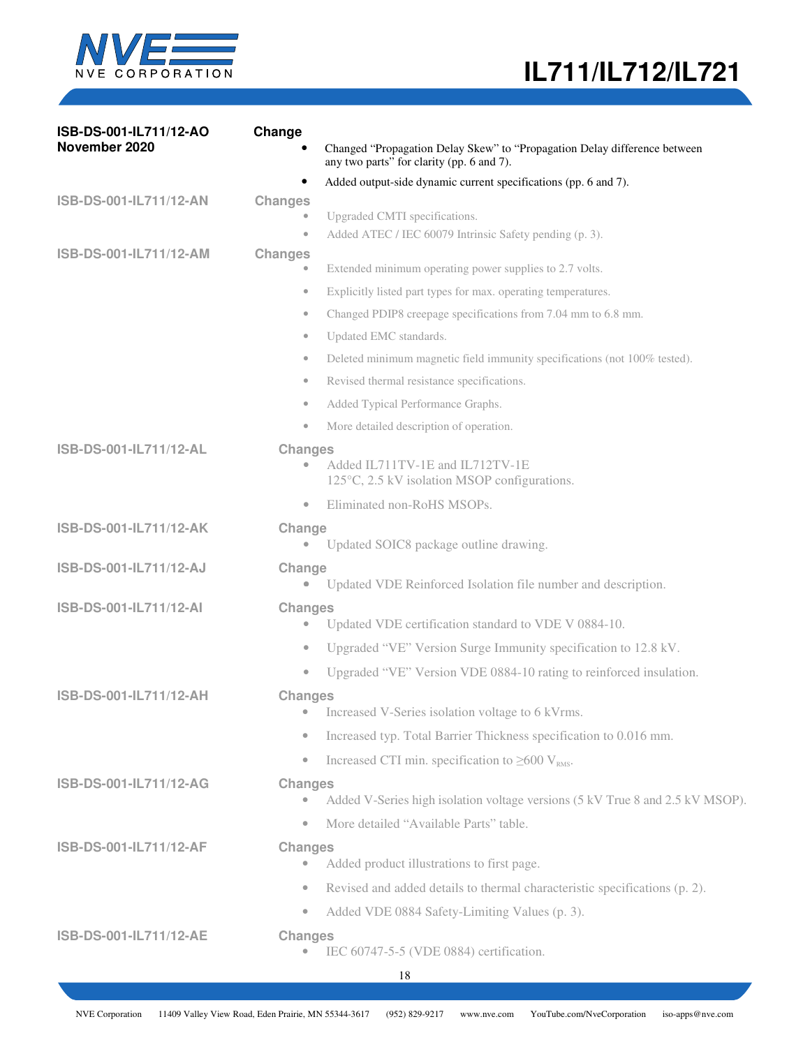

| ISB-DS-001-IL711/12-AO<br>November 2020 | Change<br>Changed "Propagation Delay Skew" to "Propagation Delay difference between<br>any two parts" for clarity (pp. 6 and 7). |
|-----------------------------------------|----------------------------------------------------------------------------------------------------------------------------------|
|                                         | Added output-side dynamic current specifications (pp. 6 and 7).<br>٠                                                             |
| ISB-DS-001-IL711/12-AN                  | <b>Changes</b>                                                                                                                   |
|                                         | Upgraded CMTI specifications.<br>Added ATEC / IEC 60079 Intrinsic Safety pending (p. 3).<br>$\qquad \qquad \bullet$              |
| ISB-DS-001-IL711/12-AM                  | <b>Changes</b>                                                                                                                   |
|                                         | Extended minimum operating power supplies to 2.7 volts.<br>$\bullet$                                                             |
|                                         | Explicitly listed part types for max. operating temperatures.<br>$\bullet$                                                       |
|                                         | Changed PDIP8 creepage specifications from 7.04 mm to 6.8 mm.<br>$\qquad \qquad \bullet$                                         |
|                                         | Updated EMC standards.<br>$\qquad \qquad \bullet$                                                                                |
|                                         | Deleted minimum magnetic field immunity specifications (not 100% tested).<br>$\bullet$                                           |
|                                         | Revised thermal resistance specifications.<br>$\qquad \qquad \bullet$                                                            |
|                                         | Added Typical Performance Graphs.<br>$\qquad \qquad \bullet$                                                                     |
|                                         | More detailed description of operation.<br>$\qquad \qquad \bullet$                                                               |
| ISB-DS-001-IL711/12-AL                  | <b>Changes</b><br>Added IL711TV-1E and IL712TV-1E<br>125°C, 2.5 kV isolation MSOP configurations.                                |
|                                         | Eliminated non-RoHS MSOPs.<br>$\qquad \qquad \bullet$                                                                            |
| ISB-DS-001-IL711/12-AK                  | Change                                                                                                                           |
|                                         | Updated SOIC8 package outline drawing.<br>$\bullet$                                                                              |
| ISB-DS-001-IL711/12-AJ                  | Change<br>Updated VDE Reinforced Isolation file number and description.<br>$\qquad \qquad \bullet$                               |
| ISB-DS-001-IL711/12-AI                  | <b>Changes</b><br>Updated VDE certification standard to VDE V 0884-10.<br>$\bullet$                                              |
|                                         | Upgraded "VE" Version Surge Immunity specification to 12.8 kV.<br>$\bullet$                                                      |
|                                         | Upgraded "VE" Version VDE 0884-10 rating to reinforced insulation.<br>$\bullet$                                                  |
| ISB-DS-001-IL711/12-AH                  | <b>Changes</b><br>Increased V-Series isolation voltage to 6 kVrms.                                                               |
|                                         | Increased typ. Total Barrier Thickness specification to 0.016 mm.<br>$\bullet$                                                   |
|                                         | Increased CTI min. specification to $\geq 600$ V <sub>RMS</sub> .<br>$\bullet$                                                   |
| ISB-DS-001-IL711/12-AG                  | <b>Changes</b><br>Added V-Series high isolation voltage versions (5 kV True 8 and 2.5 kV MSOP).<br>$\qquad \qquad \bullet$       |
|                                         | More detailed "Available Parts" table.<br>$\bullet$                                                                              |
| ISB-DS-001-IL711/12-AF                  | <b>Changes</b><br>Added product illustrations to first page.<br>$\bullet$                                                        |
|                                         | Revised and added details to thermal characteristic specifications (p. 2).<br>$\bullet$                                          |
|                                         | Added VDE 0884 Safety-Limiting Values (p. 3).<br>$\bullet$                                                                       |
| ISB-DS-001-IL711/12-AE                  | <b>Changes</b>                                                                                                                   |
|                                         | IEC 60747-5-5 (VDE 0884) certification.                                                                                          |
|                                         |                                                                                                                                  |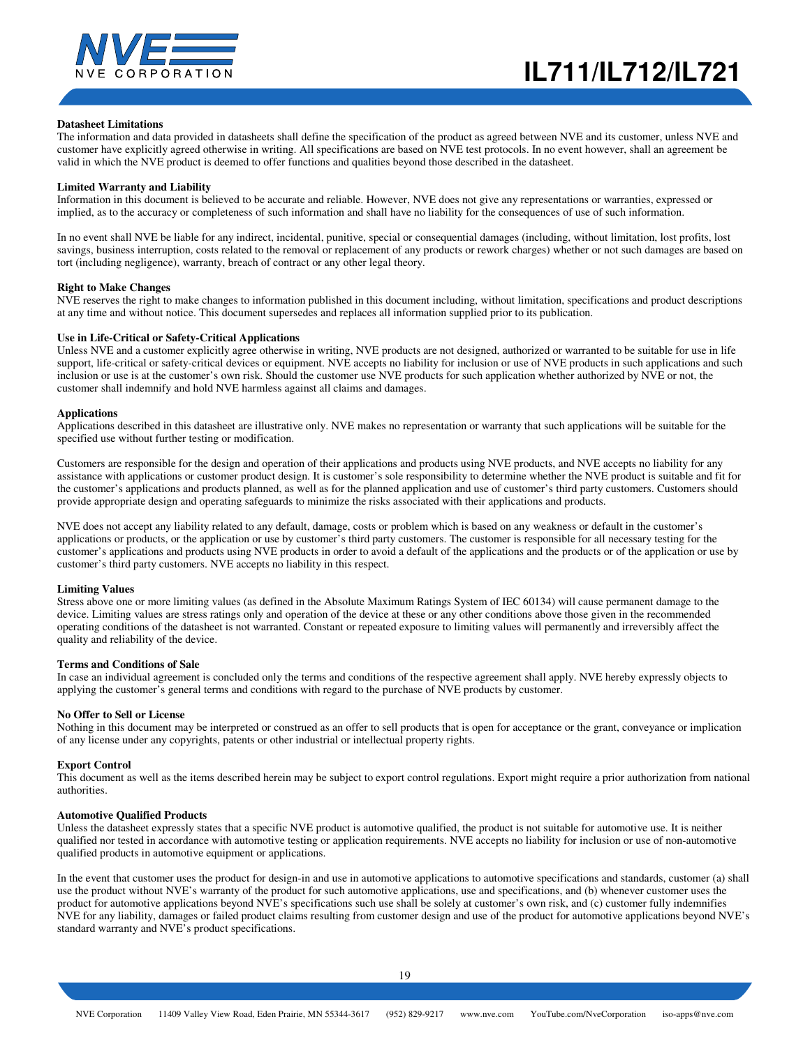

#### **Datasheet Limitations**

The information and data provided in datasheets shall define the specification of the product as agreed between NVE and its customer, unless NVE and customer have explicitly agreed otherwise in writing. All specifications are based on NVE test protocols. In no event however, shall an agreement be valid in which the NVE product is deemed to offer functions and qualities beyond those described in the datasheet.

#### **Limited Warranty and Liability**

Information in this document is believed to be accurate and reliable. However, NVE does not give any representations or warranties, expressed or implied, as to the accuracy or completeness of such information and shall have no liability for the consequences of use of such information.

In no event shall NVE be liable for any indirect, incidental, punitive, special or consequential damages (including, without limitation, lost profits, lost savings, business interruption, costs related to the removal or replacement of any products or rework charges) whether or not such damages are based on tort (including negligence), warranty, breach of contract or any other legal theory.

#### **Right to Make Changes**

NVE reserves the right to make changes to information published in this document including, without limitation, specifications and product descriptions at any time and without notice. This document supersedes and replaces all information supplied prior to its publication.

#### **Use in Life-Critical or Safety-Critical Applications**

Unless NVE and a customer explicitly agree otherwise in writing, NVE products are not designed, authorized or warranted to be suitable for use in life support, life-critical or safety-critical devices or equipment. NVE accepts no liability for inclusion or use of NVE products in such applications and such inclusion or use is at the customer's own risk. Should the customer use NVE products for such application whether authorized by NVE or not, the customer shall indemnify and hold NVE harmless against all claims and damages.

#### **Applications**

Applications described in this datasheet are illustrative only. NVE makes no representation or warranty that such applications will be suitable for the specified use without further testing or modification.

Customers are responsible for the design and operation of their applications and products using NVE products, and NVE accepts no liability for any assistance with applications or customer product design. It is customer's sole responsibility to determine whether the NVE product is suitable and fit for the customer's applications and products planned, as well as for the planned application and use of customer's third party customers. Customers should provide appropriate design and operating safeguards to minimize the risks associated with their applications and products.

NVE does not accept any liability related to any default, damage, costs or problem which is based on any weakness or default in the customer's applications or products, or the application or use by customer's third party customers. The customer is responsible for all necessary testing for the customer's applications and products using NVE products in order to avoid a default of the applications and the products or of the application or use by customer's third party customers. NVE accepts no liability in this respect.

#### **Limiting Values**

Stress above one or more limiting values (as defined in the Absolute Maximum Ratings System of IEC 60134) will cause permanent damage to the device. Limiting values are stress ratings only and operation of the device at these or any other conditions above those given in the recommended operating conditions of the datasheet is not warranted. Constant or repeated exposure to limiting values will permanently and irreversibly affect the quality and reliability of the device.

#### **Terms and Conditions of Sale**

In case an individual agreement is concluded only the terms and conditions of the respective agreement shall apply. NVE hereby expressly objects to applying the customer's general terms and conditions with regard to the purchase of NVE products by customer.

#### **No Offer to Sell or License**

Nothing in this document may be interpreted or construed as an offer to sell products that is open for acceptance or the grant, conveyance or implication of any license under any copyrights, patents or other industrial or intellectual property rights.

#### **Export Control**

This document as well as the items described herein may be subject to export control regulations. Export might require a prior authorization from national authorities.

#### **Automotive Qualified Products**

Unless the datasheet expressly states that a specific NVE product is automotive qualified, the product is not suitable for automotive use. It is neither qualified nor tested in accordance with automotive testing or application requirements. NVE accepts no liability for inclusion or use of non-automotive qualified products in automotive equipment or applications.

In the event that customer uses the product for design-in and use in automotive applications to automotive specifications and standards, customer (a) shall use the product without NVE's warranty of the product for such automotive applications, use and specifications, and (b) whenever customer uses the product for automotive applications beyond NVE's specifications such use shall be solely at customer's own risk, and (c) customer fully indemnifies NVE for any liability, damages or failed product claims resulting from customer design and use of the product for automotive applications beyond NVE's standard warranty and NVE's product specifications.